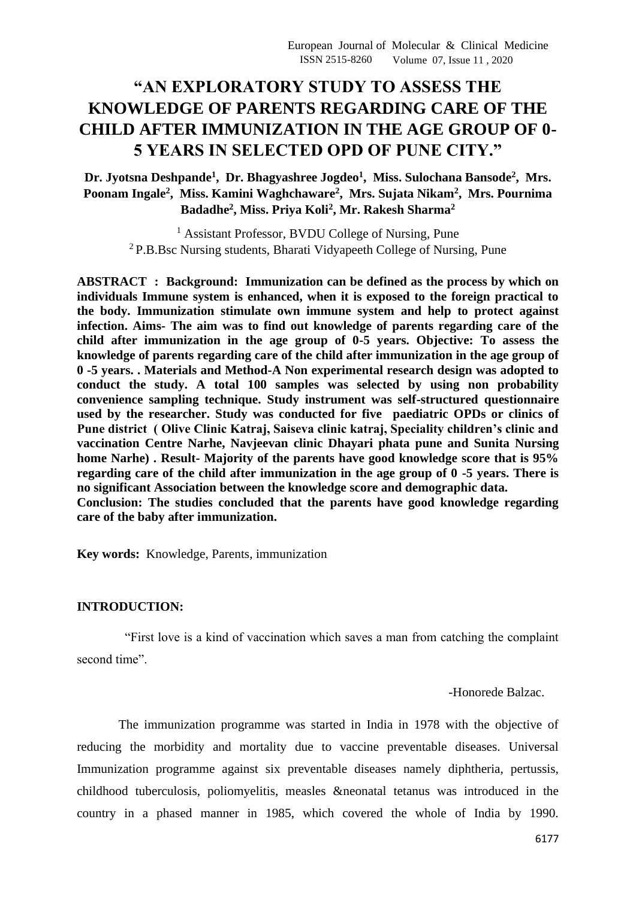# **"AN EXPLORATORY STUDY TO ASSESS THE KNOWLEDGE OF PARENTS REGARDING CARE OF THE CHILD AFTER IMMUNIZATION IN THE AGE GROUP OF 0- 5 YEARS IN SELECTED OPD OF PUNE CITY."**

**Dr. Jyotsna Deshpande<sup>1</sup> , Dr. Bhagyashree Jogdeo<sup>1</sup> , Miss. Sulochana Bansode<sup>2</sup> , Mrs. Poonam Ingale<sup>2</sup> , Miss. Kamini Waghchaware<sup>2</sup> , Mrs. Sujata Nikam<sup>2</sup> , Mrs. Pournima Badadhe<sup>2</sup> , Miss. Priya Koli<sup>2</sup> , Mr. Rakesh Sharma<sup>2</sup>**

<sup>1</sup> Assistant Professor, BVDU College of Nursing, Pune <sup>2</sup> P.B.Bsc Nursing students, Bharati Vidyapeeth College of Nursing, Pune

**ABSTRACT : Background: Immunization can be defined as the process by which on individuals Immune system is enhanced, when it is exposed to the foreign practical to the body. Immunization stimulate own immune system and help to protect against infection. Aims- The aim was to find out knowledge of parents regarding care of the child after immunization in the age group of 0-5 years. Objective: To assess the knowledge of parents regarding care of the child after immunization in the age group of 0 -5 years. . Materials and Method-A Non experimental research design was adopted to conduct the study. A total 100 samples was selected by using non probability convenience sampling technique. Study instrument was self-structured questionnaire used by the researcher. Study was conducted for five paediatric OPDs or clinics of Pune district ( Olive Clinic Katraj, Saiseva clinic katraj, Speciality children's clinic and vaccination Centre Narhe, Navjeevan clinic Dhayari phata pune and Sunita Nursing home Narhe) . Result- Majority of the parents have good knowledge score that is 95% regarding care of the child after immunization in the age group of 0 -5 years. There is no significant Association between the knowledge score and demographic data. Conclusion: The studies concluded that the parents have good knowledge regarding care of the baby after immunization.** 

**Key words:** Knowledge, Parents, immunization

### **INTRODUCTION:**

 "First love is a kind of vaccination which saves a man from catching the complaint second time".

-Honorede Balzac.

 The immunization programme was started in India in 1978 with the objective of reducing the morbidity and mortality due to vaccine preventable diseases. Universal Immunization programme against six preventable diseases namely diphtheria, pertussis, childhood tuberculosis, poliomyelitis, measles &neonatal tetanus was introduced in the country in a phased manner in 1985, which covered the whole of India by 1990.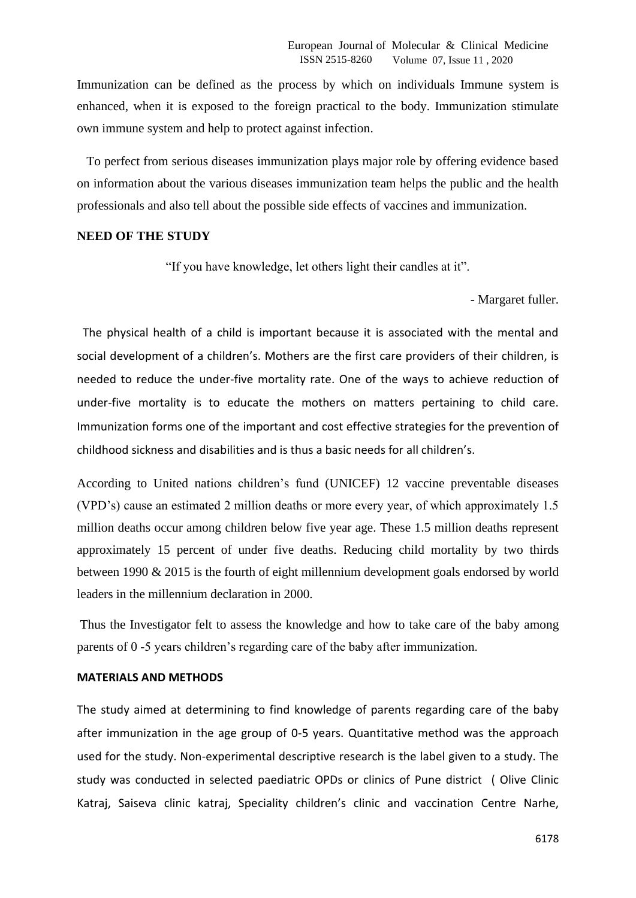Immunization can be defined as the process by which on individuals Immune system is enhanced, when it is exposed to the foreign practical to the body. Immunization stimulate own immune system and help to protect against infection.

 To perfect from serious diseases immunization plays major role by offering evidence based on information about the various diseases immunization team helps the public and the health professionals and also tell about the possible side effects of vaccines and immunization.

#### **NEED OF THE STUDY**

"If you have knowledge, let others light their candles at it".

- Margaret fuller.

The physical health of a child is important because it is associated with the mental and social development of a children's. Mothers are the first care providers of their children, is needed to reduce the under-five mortality rate. One of the ways to achieve reduction of under-five mortality is to educate the mothers on matters pertaining to child care. Immunization forms one of the important and cost effective strategies for the prevention of childhood sickness and disabilities and is thus a basic needs for all children's.

According to United nations children's fund (UNICEF) 12 vaccine preventable diseases (VPD's) cause an estimated 2 million deaths or more every year, of which approximately 1.5 million deaths occur among children below five year age. These 1.5 million deaths represent approximately 15 percent of under five deaths. Reducing child mortality by two thirds between 1990 & 2015 is the fourth of eight millennium development goals endorsed by world leaders in the millennium declaration in 2000.

Thus the Investigator felt to assess the knowledge and how to take care of the baby among parents of 0 -5 years children's regarding care of the baby after immunization.

## **MATERIALS AND METHODS**

The study aimed at determining to find knowledge of parents regarding care of the baby after immunization in the age group of 0-5 years. Quantitative method was the approach used for the study. Non-experimental descriptive research is the label given to a study. The study was conducted in selected paediatric OPDs or clinics of Pune district ( Olive Clinic Katraj, Saiseva clinic katraj, Speciality children's clinic and vaccination Centre Narhe,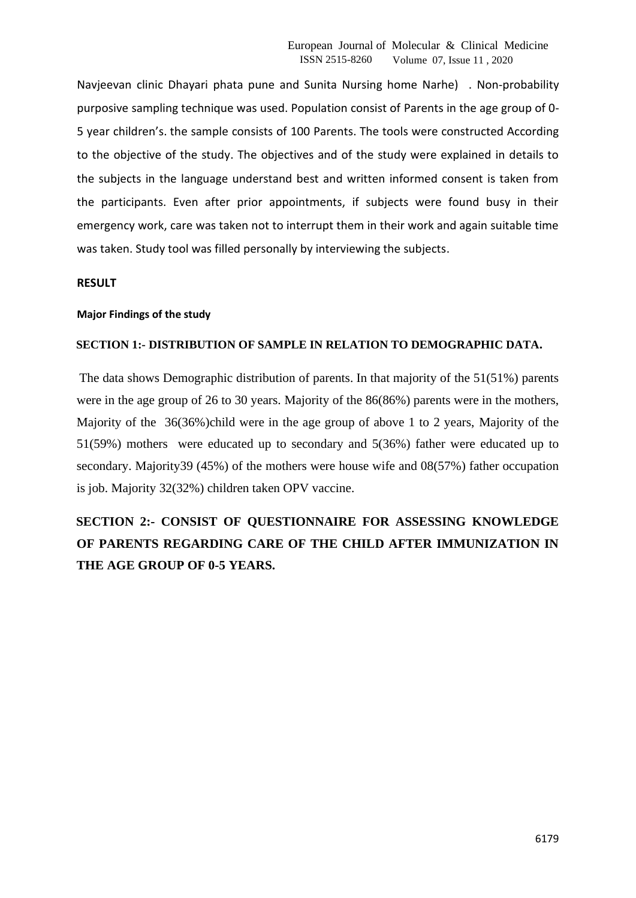Navjeevan clinic Dhayari phata pune and Sunita Nursing home Narhe) . Non-probability purposive sampling technique was used. Population consist of Parents in the age group of 0- 5 year children's. the sample consists of 100 Parents. The tools were constructed According to the objective of the study. The objectives and of the study were explained in details to the subjects in the language understand best and written informed consent is taken from the participants. Even after prior appointments, if subjects were found busy in their emergency work, care was taken not to interrupt them in their work and again suitable time was taken. Study tool was filled personally by interviewing the subjects.

### **RESULT**

### **Major Findings of the study**

### **SECTION 1:- DISTRIBUTION OF SAMPLE IN RELATION TO DEMOGRAPHIC DATA.**

The data shows Demographic distribution of parents. In that majority of the 51(51%) parents were in the age group of 26 to 30 years. Majority of the 86(86%) parents were in the mothers, Majority of the 36(36%)child were in the age group of above 1 to 2 years, Majority of the 51(59%) mothers were educated up to secondary and 5(36%) father were educated up to secondary. Majority39 (45%) of the mothers were house wife and 08(57%) father occupation is job. Majority 32(32%) children taken OPV vaccine.

# **SECTION 2:- CONSIST OF QUESTIONNAIRE FOR ASSESSING KNOWLEDGE OF PARENTS REGARDING CARE OF THE CHILD AFTER IMMUNIZATION IN THE AGE GROUP OF 0-5 YEARS.**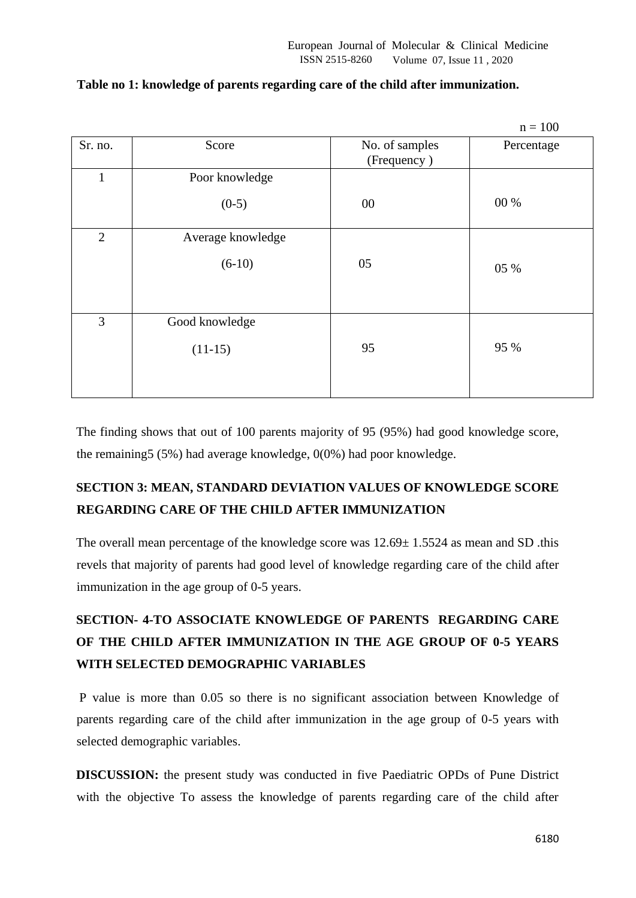|                   |                               | $n = 100$  |
|-------------------|-------------------------------|------------|
| Score             | No. of samples<br>(Frequency) | Percentage |
| Poor knowledge    |                               |            |
| $(0-5)$           | $00\,$                        | 00 %       |
| Average knowledge |                               |            |
| $(6-10)$          | 05                            | 05 %       |
| Good knowledge    |                               |            |
| $(11-15)$         | 95                            | 95 %       |
|                   |                               |            |

## **Table no 1: knowledge of parents regarding care of the child after immunization.**

The finding shows that out of 100 parents majority of 95 (95%) had good knowledge score, the remaining5 (5%) had average knowledge, 0(0%) had poor knowledge.

# **SECTION 3: MEAN, STANDARD DEVIATION VALUES OF KNOWLEDGE SCORE REGARDING CARE OF THE CHILD AFTER IMMUNIZATION**

The overall mean percentage of the knowledge score was  $12.69 \pm 1.5524$  as mean and SD .this revels that majority of parents had good level of knowledge regarding care of the child after immunization in the age group of 0-5 years.

# **SECTION- 4-TO ASSOCIATE KNOWLEDGE OF PARENTS REGARDING CARE OF THE CHILD AFTER IMMUNIZATION IN THE AGE GROUP OF 0-5 YEARS WITH SELECTED DEMOGRAPHIC VARIABLES**

P value is more than 0.05 so there is no significant association between Knowledge of parents regarding care of the child after immunization in the age group of 0-5 years with selected demographic variables.

**DISCUSSION:** the present study was conducted in five Paediatric OPDs of Pune District with the objective To assess the knowledge of parents regarding care of the child after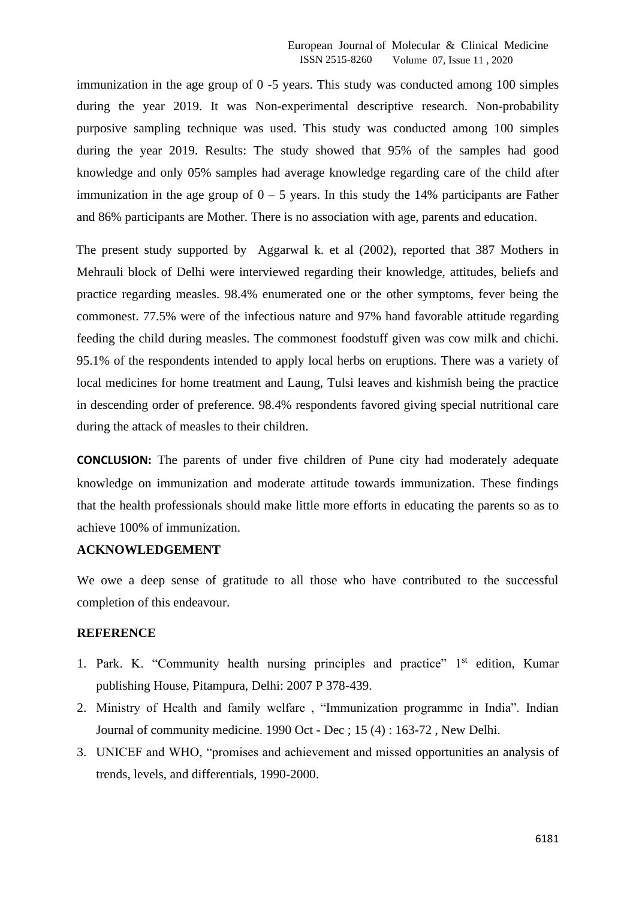immunization in the age group of 0 -5 years. This study was conducted among 100 simples during the year 2019. It was Non-experimental descriptive research. Non-probability purposive sampling technique was used. This study was conducted among 100 simples during the year 2019. Results: The study showed that 95% of the samples had good knowledge and only 05% samples had average knowledge regarding care of the child after immunization in the age group of  $0 - 5$  years. In this study the 14% participants are Father and 86% participants are Mother. There is no association with age, parents and education.

The present study supported by Aggarwal k. et al (2002), reported that 387 Mothers in Mehrauli block of Delhi were interviewed regarding their knowledge, attitudes, beliefs and practice regarding measles. 98.4% enumerated one or the other symptoms, fever being the commonest. 77.5% were of the infectious nature and 97% hand favorable attitude regarding feeding the child during measles. The commonest foodstuff given was cow milk and chichi. 95.1% of the respondents intended to apply local herbs on eruptions. There was a variety of local medicines for home treatment and Laung, Tulsi leaves and kishmish being the practice in descending order of preference. 98.4% respondents favored giving special nutritional care during the attack of measles to their children.

**CONCLUSION:** The parents of under five children of Pune city had moderately adequate knowledge on immunization and moderate attitude towards immunization. These findings that the health professionals should make little more efforts in educating the parents so as to achieve 100% of immunization.

### **ACKNOWLEDGEMENT**

We owe a deep sense of gratitude to all those who have contributed to the successful completion of this endeavour.

#### **REFERENCE**

- 1. Park. K. "Community health nursing principles and practice"  $1<sup>st</sup>$  edition, Kumar publishing House, Pitampura, Delhi: 2007 P 378-439.
- 2. Ministry of Health and family welfare , "Immunization programme in India". Indian Journal of community medicine. 1990 Oct - Dec ; 15 (4) : 163-72 , New Delhi.
- 3. UNICEF and WHO, "promises and achievement and missed opportunities an analysis of trends, levels, and differentials, 1990-2000.